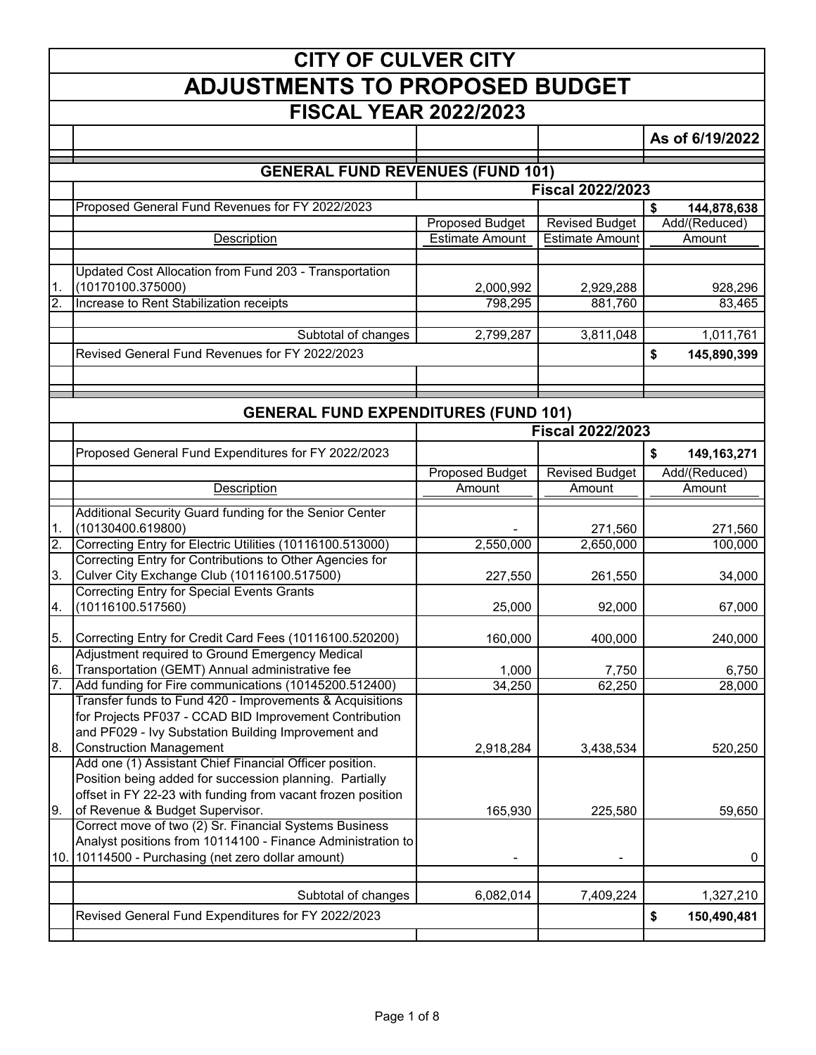|               | <b>CITY OF CULVER CITY</b>                                                                                         |                        |                         |                   |  |
|---------------|--------------------------------------------------------------------------------------------------------------------|------------------------|-------------------------|-------------------|--|
|               | <b>ADJUSTMENTS TO PROPOSED BUDGET</b>                                                                              |                        |                         |                   |  |
|               | <b>FISCAL YEAR 2022/2023</b>                                                                                       |                        |                         |                   |  |
|               |                                                                                                                    |                        |                         | As of 6/19/2022   |  |
|               |                                                                                                                    |                        |                         |                   |  |
|               | <b>GENERAL FUND REVENUES (FUND 101)</b>                                                                            |                        | <b>Fiscal 2022/2023</b> |                   |  |
|               | Proposed General Fund Revenues for FY 2022/2023                                                                    |                        |                         | \$<br>144,878,638 |  |
|               |                                                                                                                    | Proposed Budget        | <b>Revised Budget</b>   | Add/(Reduced)     |  |
|               | Description                                                                                                        | <b>Estimate Amount</b> | <b>Estimate Amount</b>  | Amount            |  |
|               | Updated Cost Allocation from Fund 203 - Transportation                                                             |                        |                         |                   |  |
| 1.            | (10170100.375000)                                                                                                  | 2,000,992              | 2,929,288               | 928,296           |  |
| 2.            | Increase to Rent Stabilization receipts                                                                            | 798,295                | 881,760                 | 83,465            |  |
|               | Subtotal of changes                                                                                                | 2,799,287              | 3,811,048               | 1,011,761         |  |
|               | Revised General Fund Revenues for FY 2022/2023                                                                     |                        |                         | \$<br>145,890,399 |  |
|               |                                                                                                                    |                        |                         |                   |  |
|               |                                                                                                                    |                        |                         |                   |  |
|               | <b>GENERAL FUND EXPENDITURES (FUND 101)</b>                                                                        |                        |                         |                   |  |
|               |                                                                                                                    |                        | <b>Fiscal 2022/2023</b> |                   |  |
|               | Proposed General Fund Expenditures for FY 2022/2023                                                                |                        |                         | \$<br>149,163,271 |  |
|               |                                                                                                                    | <b>Proposed Budget</b> | <b>Revised Budget</b>   | Add/(Reduced)     |  |
|               | <b>Description</b>                                                                                                 | Amount                 | Amount                  | Amount            |  |
| $\mathbf 1$ . | Additional Security Guard funding for the Senior Center<br>(10130400.619800)                                       |                        | 271,560                 | 271,560           |  |
| 2.            | Correcting Entry for Electric Utilities (10116100.513000)                                                          | 2,550,000              | 2,650,000               | 100,000           |  |
|               | Correcting Entry for Contributions to Other Agencies for<br>Culver City Exchange Club (10116100.517500)            |                        |                         |                   |  |
| 3.            | <b>Correcting Entry for Special Events Grants</b>                                                                  | 227,550                | 261,550                 | 34,000            |  |
| Ι4.           | (10116100.517560)                                                                                                  | 25,000                 | 92,000                  | 67,000            |  |
| 5.            | Correcting Entry for Credit Card Fees (10116100.520200)                                                            | 160.000                | 400.000                 | 240,000           |  |
| 6.            | Adjustment required to Ground Emergency Medical<br>Transportation (GEMT) Annual administrative fee                 | 1,000                  | 7,750                   | 6,750             |  |
| 7.            | Add funding for Fire communications (10145200.512400)                                                              | 34,250                 | 62,250                  | 28,000            |  |
|               | Transfer funds to Fund 420 - Improvements & Acquisitions<br>for Projects PF037 - CCAD BID Improvement Contribution |                        |                         |                   |  |
| 8.            | and PF029 - Ivy Substation Building Improvement and<br><b>Construction Management</b>                              | 2,918,284              | 3,438,534               | 520,250           |  |
|               | Add one (1) Assistant Chief Financial Officer position.<br>Position being added for succession planning. Partially |                        |                         |                   |  |
| 9.            | offset in FY 22-23 with funding from vacant frozen position<br>of Revenue & Budget Supervisor.                     | 165,930                | 225,580                 | 59,650            |  |
|               | Correct move of two (2) Sr. Financial Systems Business                                                             |                        |                         |                   |  |
|               | Analyst positions from 10114100 - Finance Administration to<br>10. 10114500 - Purchasing (net zero dollar amount)  |                        |                         | $\mathbf 0$       |  |
|               |                                                                                                                    |                        |                         |                   |  |
|               | Subtotal of changes                                                                                                | 6,082,014              | 7,409,224               | 1,327,210         |  |
|               | Revised General Fund Expenditures for FY 2022/2023                                                                 |                        |                         | \$<br>150,490,481 |  |
|               |                                                                                                                    |                        |                         |                   |  |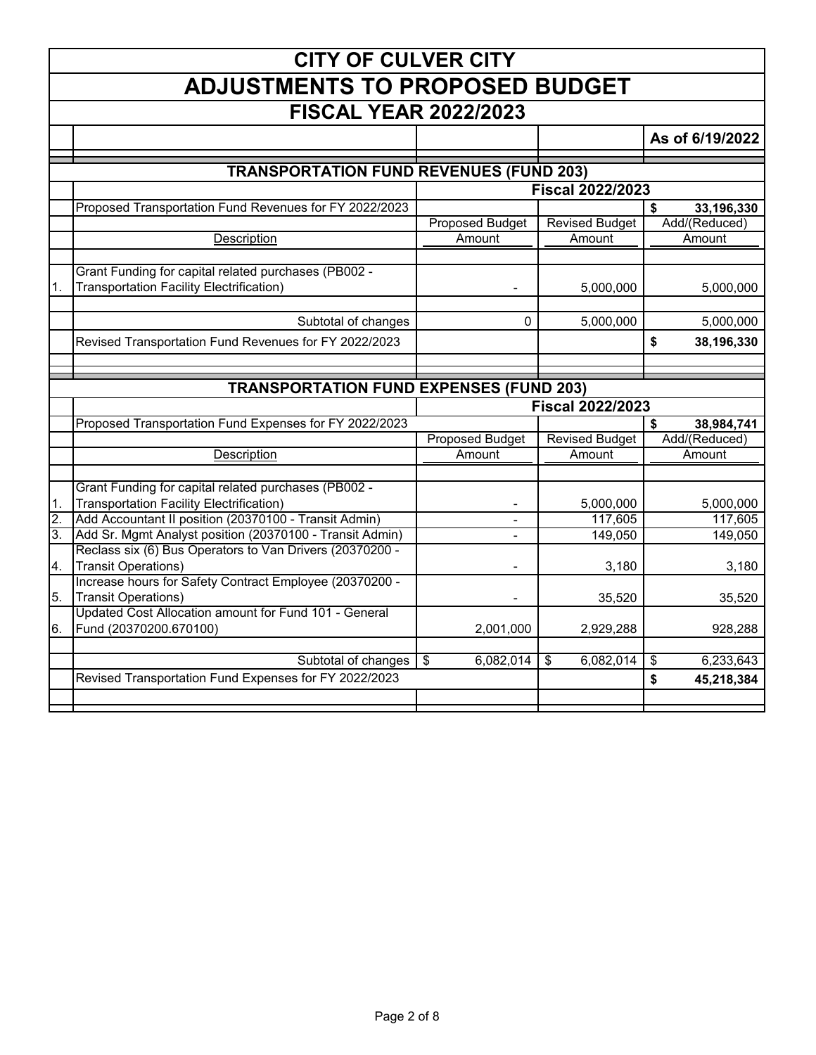|                  | <b>CITY OF CULVER CITY</b>                                                          |                                                     |                                       |                  |  |  |
|------------------|-------------------------------------------------------------------------------------|-----------------------------------------------------|---------------------------------------|------------------|--|--|
|                  | <b>ADJUSTMENTS TO PROPOSED BUDGET</b>                                               |                                                     |                                       |                  |  |  |
|                  | <b>FISCAL YEAR 2022/2023</b>                                                        |                                                     |                                       |                  |  |  |
|                  |                                                                                     |                                                     |                                       | As of 6/19/2022  |  |  |
|                  | <b>TRANSPORTATION FUND REVENUES (FUND 203)</b>                                      |                                                     |                                       |                  |  |  |
|                  |                                                                                     |                                                     | <b>Fiscal 2022/2023</b>               |                  |  |  |
|                  | Proposed Transportation Fund Revenues for FY 2022/2023                              |                                                     |                                       | 33,196,330<br>\$ |  |  |
|                  |                                                                                     | <b>Proposed Budget</b>                              | <b>Revised Budget</b>                 | Add/(Reduced)    |  |  |
|                  | <b>Description</b>                                                                  | Amount                                              | Amount                                | Amount           |  |  |
|                  |                                                                                     |                                                     |                                       |                  |  |  |
|                  | Grant Funding for capital related purchases (PB002 -                                |                                                     |                                       |                  |  |  |
| 1.               | Transportation Facility Electrification)                                            |                                                     | 5,000,000                             | 5,000,000        |  |  |
|                  |                                                                                     |                                                     |                                       |                  |  |  |
|                  | Subtotal of changes                                                                 | 0                                                   | 5,000,000                             | 5,000,000        |  |  |
|                  | Revised Transportation Fund Revenues for FY 2022/2023                               |                                                     |                                       | \$<br>38,196,330 |  |  |
|                  |                                                                                     |                                                     |                                       |                  |  |  |
|                  |                                                                                     |                                                     |                                       |                  |  |  |
|                  | <b>TRANSPORTATION FUND EXPENSES (FUND 203)</b>                                      |                                                     |                                       |                  |  |  |
|                  |                                                                                     |                                                     |                                       |                  |  |  |
|                  |                                                                                     |                                                     | <b>Fiscal 2022/2023</b>               |                  |  |  |
|                  | Proposed Transportation Fund Expenses for FY 2022/2023                              |                                                     |                                       | \$<br>38,984,741 |  |  |
|                  |                                                                                     | <b>Proposed Budget</b>                              | <b>Revised Budget</b>                 | Add/(Reduced)    |  |  |
|                  | Description                                                                         | Amount                                              | Amount                                | Amount           |  |  |
|                  |                                                                                     |                                                     |                                       |                  |  |  |
|                  | Grant Funding for capital related purchases (PB002 -                                |                                                     |                                       |                  |  |  |
| 1.               | <b>Transportation Facility Electrification)</b>                                     |                                                     | 5,000,000                             | 5,000,000        |  |  |
| $\overline{2}$ . | Add Accountant II position (20370100 - Transit Admin)                               | $\blacksquare$                                      | 117,605                               | 117,605          |  |  |
| $\overline{3}$ . | Add Sr. Mgmt Analyst position (20370100 - Transit Admin)                            |                                                     | 149,050                               | 149,050          |  |  |
|                  | Reclass six (6) Bus Operators to Van Drivers (20370200 -                            |                                                     |                                       |                  |  |  |
| $\overline{4}$ . | <b>Transit Operations)</b>                                                          |                                                     | 3,180                                 | 3,180            |  |  |
|                  | Increase hours for Safety Contract Employee (20370200 -                             |                                                     |                                       |                  |  |  |
| 5.               | <b>Transit Operations)</b><br>Updated Cost Allocation amount for Fund 101 - General |                                                     | 35,520                                | 35,520           |  |  |
| 6.               | Fund (20370200.670100)                                                              | 2,001,000                                           | 2,929,288                             | 928,288          |  |  |
|                  |                                                                                     |                                                     |                                       |                  |  |  |
|                  | Subtotal of changes                                                                 | 6,082,014<br>$\overline{\boldsymbol{\mathfrak{s}}}$ | 6,082,014<br>$\overline{\mathcal{G}}$ | 6,233,643<br>\$  |  |  |
|                  | Revised Transportation Fund Expenses for FY 2022/2023                               |                                                     |                                       | \$<br>45,218,384 |  |  |
|                  |                                                                                     |                                                     |                                       |                  |  |  |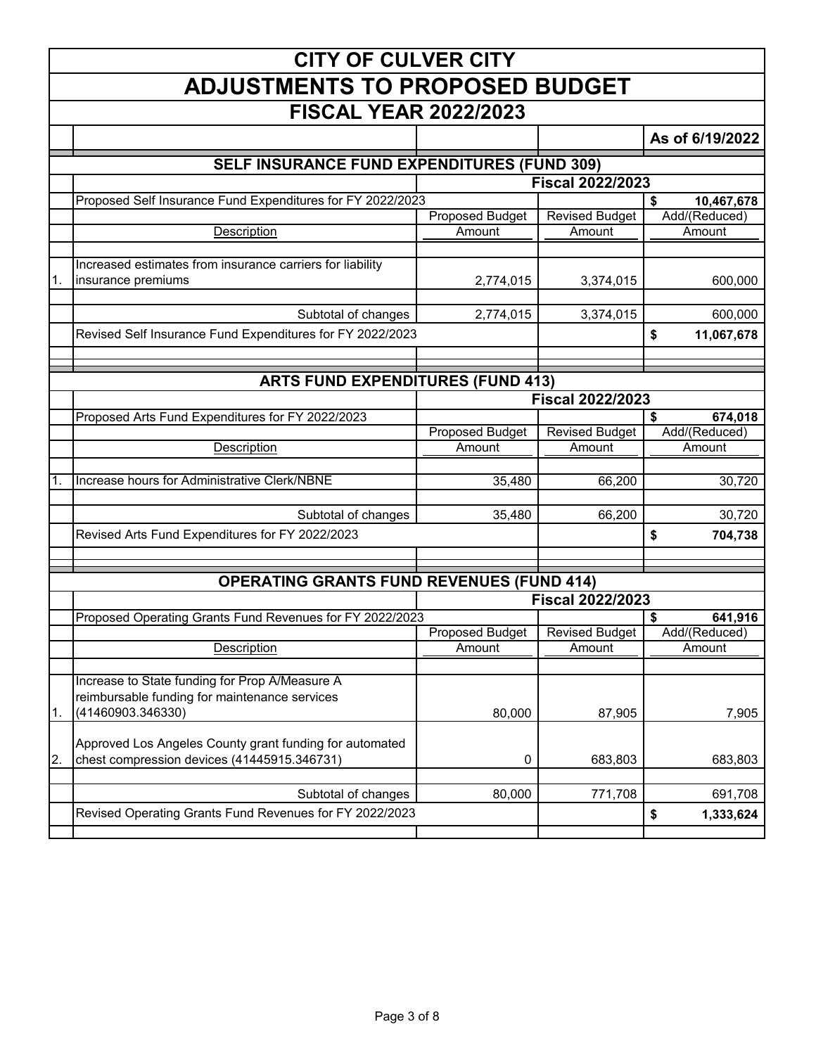|                  | <b>CITY OF CULVER CITY</b>                                 |                        |                         |                  |  |  |
|------------------|------------------------------------------------------------|------------------------|-------------------------|------------------|--|--|
|                  | <b>ADJUSTMENTS TO PROPOSED BUDGET</b>                      |                        |                         |                  |  |  |
|                  | <b>FISCAL YEAR 2022/2023</b>                               |                        |                         |                  |  |  |
|                  |                                                            |                        |                         | As of 6/19/2022  |  |  |
|                  | <b>SELF INSURANCE FUND EXPENDITURES (FUND 309)</b>         |                        |                         |                  |  |  |
|                  |                                                            |                        | <b>Fiscal 2022/2023</b> |                  |  |  |
|                  | Proposed Self Insurance Fund Expenditures for FY 2022/2023 |                        |                         | \$<br>10,467,678 |  |  |
|                  |                                                            | <b>Proposed Budget</b> | <b>Revised Budget</b>   | Add/(Reduced)    |  |  |
|                  | Description                                                | Amount                 | Amount                  | Amount           |  |  |
|                  | Increased estimates from insurance carriers for liability  |                        |                         |                  |  |  |
| 1.               | insurance premiums                                         | 2,774,015              | 3,374,015               | 600,000          |  |  |
|                  |                                                            |                        |                         |                  |  |  |
|                  | Subtotal of changes                                        | 2,774,015              | 3,374,015               | 600,000          |  |  |
|                  | Revised Self Insurance Fund Expenditures for FY 2022/2023  |                        |                         | \$<br>11,067,678 |  |  |
|                  |                                                            |                        |                         |                  |  |  |
|                  | <b>ARTS FUND EXPENDITURES (FUND 413)</b>                   |                        |                         |                  |  |  |
|                  |                                                            |                        | <b>Fiscal 2022/2023</b> |                  |  |  |
|                  | Proposed Arts Fund Expenditures for FY 2022/2023           |                        |                         | \$<br>674,018    |  |  |
|                  |                                                            | <b>Proposed Budget</b> | <b>Revised Budget</b>   | Add/(Reduced)    |  |  |
|                  | Description                                                | Amount                 | Amount                  | Amount           |  |  |
|                  |                                                            |                        |                         |                  |  |  |
| 1.               | Increase hours for Administrative Clerk/NBNE               | 35,480                 | 66,200                  | 30,720           |  |  |
|                  |                                                            |                        |                         |                  |  |  |
|                  | Subtotal of changes                                        | 35,480                 | 66,200                  | 30,720           |  |  |
|                  | Revised Arts Fund Expenditures for FY 2022/2023            |                        |                         | \$<br>704,738    |  |  |
|                  |                                                            |                        |                         |                  |  |  |
|                  | <b>OPERATING GRANTS FUND REVENUES (FUND 414)</b>           |                        |                         |                  |  |  |
|                  |                                                            |                        | <b>Fiscal 2022/2023</b> |                  |  |  |
|                  | Proposed Operating Grants Fund Revenues for FY 2022/2023   |                        |                         | \$<br>641,916    |  |  |
|                  |                                                            | <b>Proposed Budget</b> | <b>Revised Budget</b>   | Add/(Reduced)    |  |  |
|                  | Description                                                | Amount                 | Amount                  | Amount           |  |  |
|                  |                                                            |                        |                         |                  |  |  |
|                  | Increase to State funding for Prop A/Measure A             |                        |                         |                  |  |  |
|                  | reimbursable funding for maintenance services              |                        |                         |                  |  |  |
| 1.               | (41460903.346330)                                          | 80,000                 | 87,905                  | 7,905            |  |  |
|                  | Approved Los Angeles County grant funding for automated    |                        |                         |                  |  |  |
| $\overline{2}$ . | chest compression devices (41445915.346731)                | 0                      | 683,803                 | 683,803          |  |  |
|                  |                                                            |                        |                         |                  |  |  |
|                  | Subtotal of changes                                        | 80,000                 | 771,708                 | 691,708          |  |  |
|                  | Revised Operating Grants Fund Revenues for FY 2022/2023    |                        |                         | \$<br>1,333,624  |  |  |
|                  |                                                            |                        |                         |                  |  |  |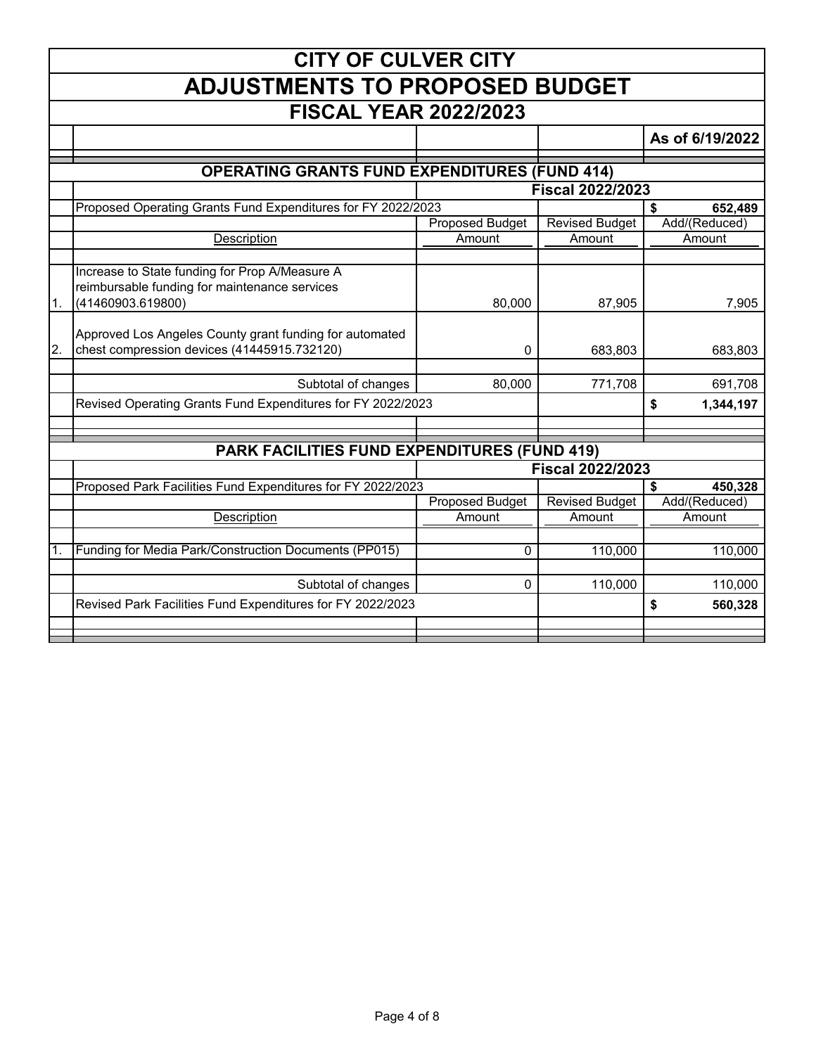|                  | <b>CITY OF CULVER CITY</b>                                                                                           |                        |                         |                 |  |  |
|------------------|----------------------------------------------------------------------------------------------------------------------|------------------------|-------------------------|-----------------|--|--|
|                  | <b>ADJUSTMENTS TO PROPOSED BUDGET</b>                                                                                |                        |                         |                 |  |  |
|                  | <b>FISCAL YEAR 2022/2023</b>                                                                                         |                        |                         |                 |  |  |
|                  |                                                                                                                      |                        |                         | As of 6/19/2022 |  |  |
|                  | <b>OPERATING GRANTS FUND EXPENDITURES (FUND 414)</b>                                                                 |                        |                         |                 |  |  |
|                  |                                                                                                                      |                        | <b>Fiscal 2022/2023</b> |                 |  |  |
|                  | Proposed Operating Grants Fund Expenditures for FY 2022/2023                                                         |                        |                         | \$<br>652,489   |  |  |
|                  |                                                                                                                      | <b>Proposed Budget</b> | <b>Revised Budget</b>   | Add/(Reduced)   |  |  |
|                  | Description                                                                                                          | Amount                 | Amount                  | Amount          |  |  |
|                  |                                                                                                                      |                        |                         |                 |  |  |
| 1.               | Increase to State funding for Prop A/Measure A<br>reimbursable funding for maintenance services<br>(41460903.619800) | 80,000                 | 87,905                  | 7,905           |  |  |
|                  |                                                                                                                      |                        |                         |                 |  |  |
| $\overline{2}$ . | Approved Los Angeles County grant funding for automated<br>chest compression devices (41445915.732120)               | 0                      | 683,803                 | 683,803         |  |  |
|                  |                                                                                                                      |                        |                         |                 |  |  |
|                  | Subtotal of changes                                                                                                  | 80,000                 | 771,708                 | 691,708         |  |  |
|                  | Revised Operating Grants Fund Expenditures for FY 2022/2023                                                          |                        |                         | \$<br>1,344,197 |  |  |
|                  |                                                                                                                      |                        |                         |                 |  |  |
|                  | <b>PARK FACILITIES FUND EXPENDITURES (FUND 419)</b>                                                                  |                        |                         |                 |  |  |
|                  |                                                                                                                      |                        | <b>Fiscal 2022/2023</b> |                 |  |  |
|                  | Proposed Park Facilities Fund Expenditures for FY 2022/2023                                                          |                        |                         | \$<br>450,328   |  |  |
|                  |                                                                                                                      | Proposed Budget        | <b>Revised Budget</b>   | Add/(Reduced)   |  |  |
|                  | Description                                                                                                          | Amount                 | Amount                  | Amount          |  |  |
|                  |                                                                                                                      |                        |                         |                 |  |  |
| $\mathbf 1$ .    | Funding for Media Park/Construction Documents (PP015)                                                                | 0                      | 110,000                 | 110,000         |  |  |
|                  | Subtotal of changes                                                                                                  | $\mathbf 0$            | 110,000                 | 110,000         |  |  |
|                  | Revised Park Facilities Fund Expenditures for FY 2022/2023                                                           |                        |                         | \$<br>560,328   |  |  |
|                  |                                                                                                                      |                        |                         |                 |  |  |
|                  |                                                                                                                      |                        |                         |                 |  |  |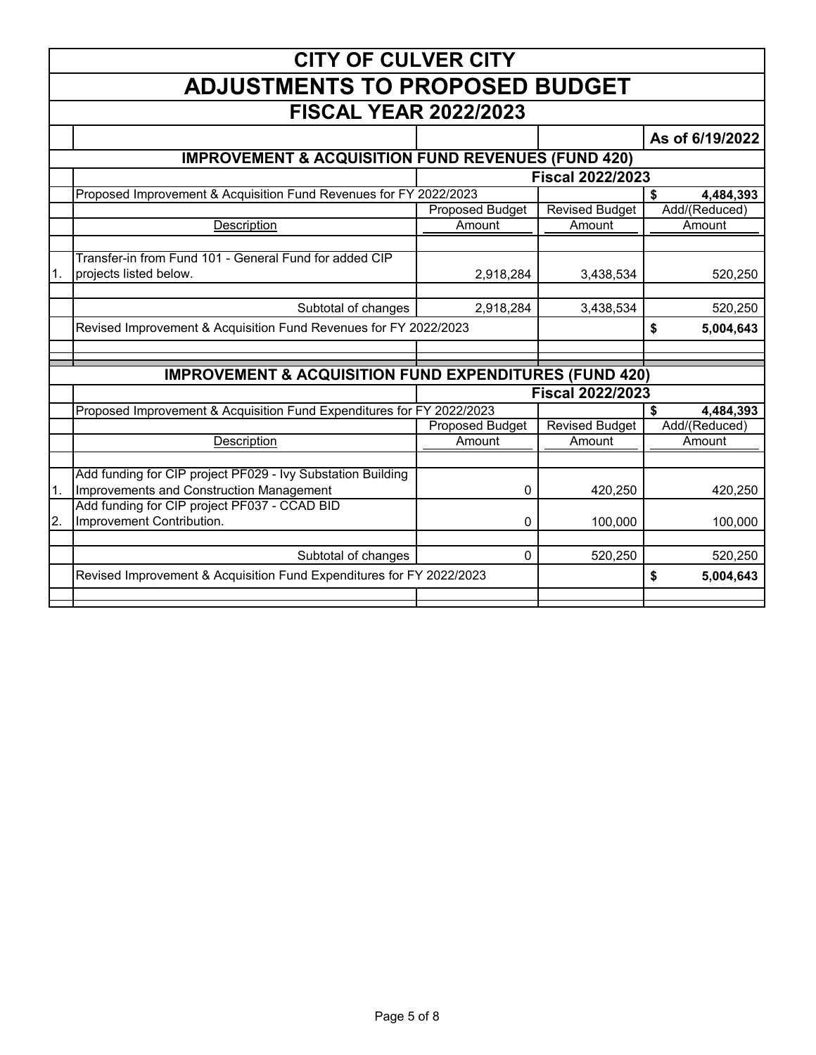|                  | <b>CITY OF CULVER CITY</b>                                                               |                        |                         |                 |  |  |
|------------------|------------------------------------------------------------------------------------------|------------------------|-------------------------|-----------------|--|--|
|                  | <b>ADJUSTMENTS TO PROPOSED BUDGET</b>                                                    |                        |                         |                 |  |  |
|                  | <b>FISCAL YEAR 2022/2023</b>                                                             |                        |                         |                 |  |  |
|                  |                                                                                          |                        |                         | As of 6/19/2022 |  |  |
|                  | <b>IMPROVEMENT &amp; ACQUISITION FUND REVENUES (FUND 420)</b>                            |                        |                         |                 |  |  |
|                  |                                                                                          |                        | <b>Fiscal 2022/2023</b> |                 |  |  |
|                  | Proposed Improvement & Acquisition Fund Revenues for FY 2022/2023                        |                        |                         | \$<br>4,484,393 |  |  |
|                  |                                                                                          | <b>Proposed Budget</b> | <b>Revised Budget</b>   | Add/(Reduced)   |  |  |
|                  | Description                                                                              | Amount                 | Amount                  | Amount          |  |  |
|                  |                                                                                          |                        |                         |                 |  |  |
|                  | Transfer-in from Fund 101 - General Fund for added CIP                                   |                        |                         |                 |  |  |
| 1.               | projects listed below.                                                                   | 2,918,284              | 3,438,534               | 520,250         |  |  |
|                  |                                                                                          |                        |                         |                 |  |  |
|                  | Subtotal of changes                                                                      | 2,918,284              | 3,438,534               | 520,250         |  |  |
|                  | Revised Improvement & Acquisition Fund Revenues for FY 2022/2023                         |                        |                         | \$<br>5,004,643 |  |  |
|                  |                                                                                          |                        |                         |                 |  |  |
|                  |                                                                                          |                        |                         |                 |  |  |
|                  | <b>IMPROVEMENT &amp; ACQUISITION FUND EXPENDITURES (FUND 420)</b>                        |                        |                         |                 |  |  |
|                  |                                                                                          |                        | <b>Fiscal 2022/2023</b> |                 |  |  |
|                  | Proposed Improvement & Acquisition Fund Expenditures for FY 2022/2023                    |                        |                         | \$<br>4,484,393 |  |  |
|                  |                                                                                          | <b>Proposed Budget</b> | <b>Revised Budget</b>   | Add/(Reduced)   |  |  |
|                  | Description                                                                              | Amount                 | Amount                  | Amount          |  |  |
|                  |                                                                                          |                        |                         |                 |  |  |
|                  | Add funding for CIP project PF029 - Ivy Substation Building                              |                        |                         |                 |  |  |
| $\overline{1}$ . | Improvements and Construction Management<br>Add funding for CIP project PF037 - CCAD BID | 0                      | 420,250                 | 420,250         |  |  |
| <sup>2.</sup>    | Improvement Contribution.                                                                |                        |                         |                 |  |  |
|                  |                                                                                          | 0                      | 100,000                 | 100,000         |  |  |
|                  | Subtotal of changes                                                                      | $\Omega$               | 520,250                 | 520,250         |  |  |
|                  | Revised Improvement & Acquisition Fund Expenditures for FY 2022/2023                     |                        |                         | \$<br>5,004,643 |  |  |
|                  |                                                                                          |                        |                         |                 |  |  |
|                  |                                                                                          |                        |                         |                 |  |  |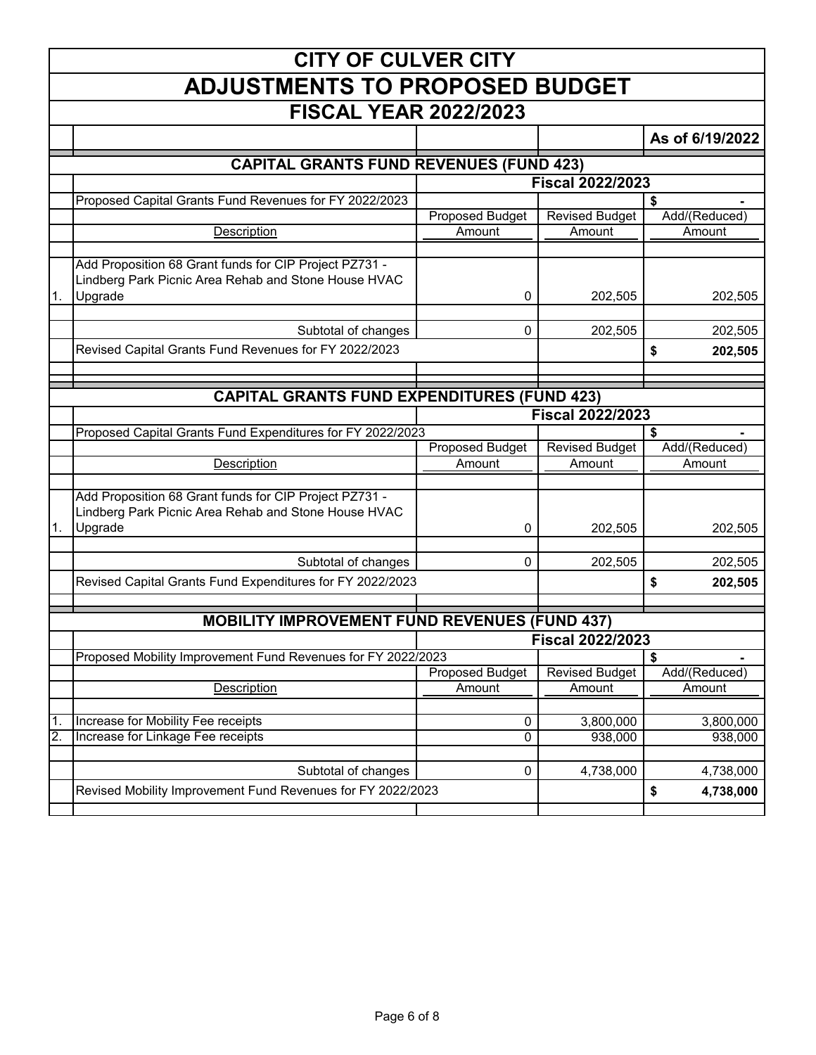|                  | <b>CITY OF CULVER CITY</b>                                   |                        |                         |                 |  |  |
|------------------|--------------------------------------------------------------|------------------------|-------------------------|-----------------|--|--|
|                  | <b>ADJUSTMENTS TO PROPOSED BUDGET</b>                        |                        |                         |                 |  |  |
|                  | <b>FISCAL YEAR 2022/2023</b>                                 |                        |                         |                 |  |  |
|                  |                                                              |                        |                         | As of 6/19/2022 |  |  |
|                  | <b>CAPITAL GRANTS FUND REVENUES (FUND 423)</b>               |                        |                         |                 |  |  |
|                  |                                                              |                        | <b>Fiscal 2022/2023</b> |                 |  |  |
|                  | Proposed Capital Grants Fund Revenues for FY 2022/2023       |                        |                         | \$              |  |  |
|                  |                                                              | Proposed Budget        | <b>Revised Budget</b>   | Add/(Reduced)   |  |  |
|                  | Description                                                  | Amount                 | Amount                  | Amount          |  |  |
|                  | Add Proposition 68 Grant funds for CIP Project PZ731 -       |                        |                         |                 |  |  |
|                  | Lindberg Park Picnic Area Rehab and Stone House HVAC         |                        |                         |                 |  |  |
| 1.               | Upgrade                                                      | 0                      | 202,505                 | 202,505         |  |  |
|                  | Subtotal of changes                                          | $\Omega$               | 202,505                 | 202,505         |  |  |
|                  |                                                              |                        |                         |                 |  |  |
|                  | Revised Capital Grants Fund Revenues for FY 2022/2023        |                        |                         | \$<br>202,505   |  |  |
|                  |                                                              |                        |                         |                 |  |  |
|                  | <b>CAPITAL GRANTS FUND EXPENDITURES (FUND 423)</b>           |                        |                         |                 |  |  |
|                  |                                                              |                        | <b>Fiscal 2022/2023</b> |                 |  |  |
|                  | Proposed Capital Grants Fund Expenditures for FY 2022/2023   |                        |                         | \$              |  |  |
|                  |                                                              | <b>Proposed Budget</b> | <b>Revised Budget</b>   | Add/(Reduced)   |  |  |
|                  | Description                                                  | Amount                 | Amount                  | Amount          |  |  |
|                  |                                                              |                        |                         |                 |  |  |
|                  | Add Proposition 68 Grant funds for CIP Project PZ731 -       |                        |                         |                 |  |  |
|                  | Lindberg Park Picnic Area Rehab and Stone House HVAC         |                        |                         |                 |  |  |
| 1.               | Upgrade                                                      | 0                      | 202,505                 | 202,505         |  |  |
|                  |                                                              | 0                      | 202,505                 |                 |  |  |
|                  | Subtotal of changes                                          |                        |                         | 202,505         |  |  |
|                  | Revised Capital Grants Fund Expenditures for FY 2022/2023    |                        |                         | \$<br>202,505   |  |  |
|                  |                                                              |                        |                         |                 |  |  |
|                  | <b>MOBILITY IMPROVEMENT FUND REVENUES (FUND 437)</b>         |                        |                         |                 |  |  |
|                  |                                                              |                        | <b>Fiscal 2022/2023</b> |                 |  |  |
|                  | Proposed Mobility Improvement Fund Revenues for FY 2022/2023 |                        |                         | \$              |  |  |
|                  |                                                              | <b>Proposed Budget</b> | <b>Revised Budget</b>   | Add/(Reduced)   |  |  |
|                  | Description                                                  | Amount                 | Amount                  | Amount          |  |  |
| $\overline{1}$ . | Increase for Mobility Fee receipts                           | 0                      | 3,800,000               | 3,800,000       |  |  |
| $\overline{2}$ . | Increase for Linkage Fee receipts                            | 0                      | 938,000                 | 938,000         |  |  |
|                  |                                                              |                        |                         |                 |  |  |
|                  | Subtotal of changes                                          | 0                      | 4,738,000               | 4,738,000       |  |  |
|                  | Revised Mobility Improvement Fund Revenues for FY 2022/2023  |                        |                         | \$<br>4,738,000 |  |  |
|                  |                                                              |                        |                         |                 |  |  |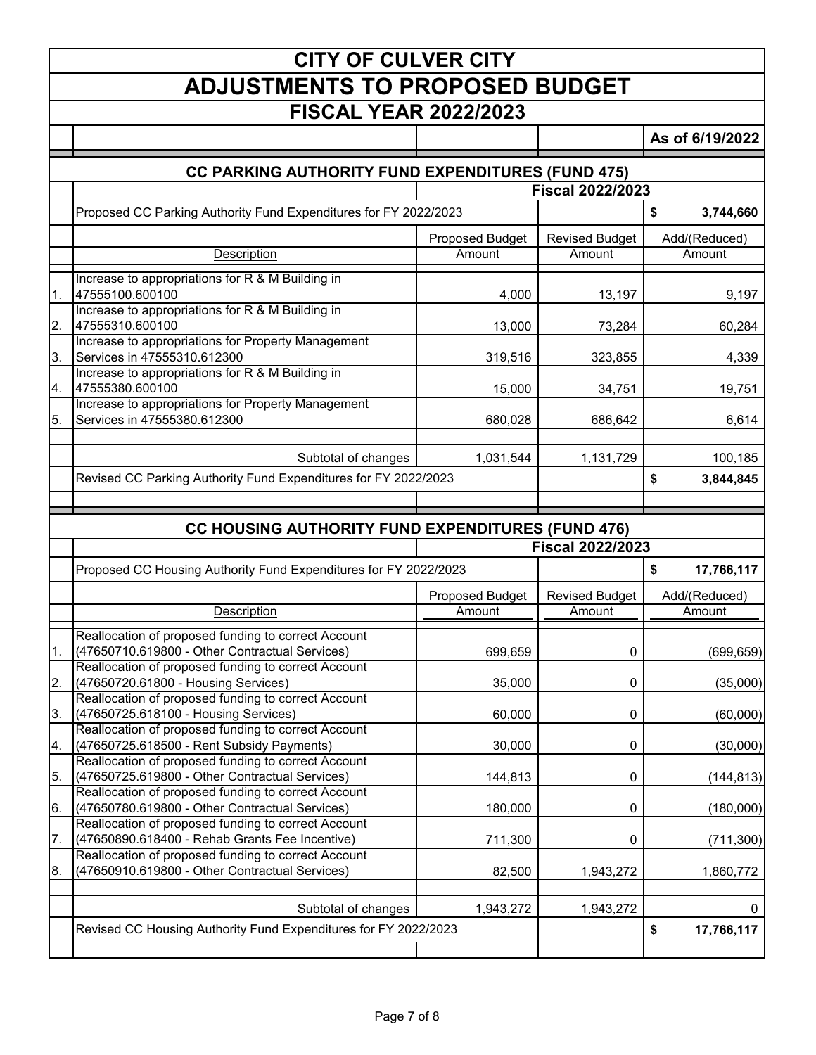|     | <b>CITY OF CULVER CITY</b>                                                                            |                 |                         |                      |  |
|-----|-------------------------------------------------------------------------------------------------------|-----------------|-------------------------|----------------------|--|
|     | <b>ADJUSTMENTS TO PROPOSED BUDGET</b>                                                                 |                 |                         |                      |  |
|     | <b>FISCAL YEAR 2022/2023</b>                                                                          |                 |                         |                      |  |
|     |                                                                                                       |                 |                         | As of 6/19/2022      |  |
|     |                                                                                                       |                 |                         |                      |  |
|     | <b>CC PARKING AUTHORITY FUND EXPENDITURES (FUND 475)</b>                                              |                 |                         |                      |  |
|     |                                                                                                       |                 | <b>Fiscal 2022/2023</b> |                      |  |
|     | Proposed CC Parking Authority Fund Expenditures for FY 2022/2023                                      |                 |                         | \$<br>3,744,660      |  |
|     |                                                                                                       | Proposed Budget | <b>Revised Budget</b>   | Add/(Reduced)        |  |
|     | Description                                                                                           | Amount          | Amount                  | Amount               |  |
| 1.  | Increase to appropriations for R & M Building in<br>47555100.600100                                   | 4,000           | 13,197                  | 9,197                |  |
| 2.  | Increase to appropriations for R & M Building in<br>47555310.600100                                   | 13,000          | 73,284                  | 60,284               |  |
| ΙЗ. | Increase to appropriations for Property Management<br>Services in 47555310.612300                     | 319,516         | 323,855                 | 4,339                |  |
|     | Increase to appropriations for R & M Building in                                                      |                 |                         |                      |  |
| 4.  | 47555380.600100                                                                                       | 15,000          | 34,751                  | 19,751               |  |
| 5.  | Increase to appropriations for Property Management<br>Services in 47555380.612300                     | 680,028         | 686,642                 | 6,614                |  |
|     | Subtotal of changes                                                                                   | 1,031,544       | 1,131,729               | 100,185              |  |
|     | Revised CC Parking Authority Fund Expenditures for FY 2022/2023                                       |                 |                         | \$<br>3,844,845      |  |
|     |                                                                                                       |                 |                         |                      |  |
|     | <b>CC HOUSING AUTHORITY FUND EXPENDITURES (FUND 476)</b>                                              |                 |                         |                      |  |
|     |                                                                                                       |                 |                         |                      |  |
|     |                                                                                                       |                 | <b>Fiscal 2022/2023</b> |                      |  |
|     | Proposed CC Housing Authority Fund Expenditures for FY 2022/2023                                      |                 |                         | \$<br>17,766,117     |  |
|     |                                                                                                       | Proposed Budget | <b>Revised Budget</b>   | Add/(Reduced)        |  |
|     | Description                                                                                           | Amount          | Amount                  | Amount               |  |
| l1. | Reallocation of proposed funding to correct Account<br>(47650710.619800 - Other Contractual Services) | 699,659         | 0                       |                      |  |
| 2.  | Reallocation of proposed funding to correct Account<br>(47650720.61800 - Housing Services)            | 35,000          | 0                       |                      |  |
| 3.  | Reallocation of proposed funding to correct Account<br>(47650725.618100 - Housing Services)           | 60,000          | 0                       | (35,000)<br>(60,000) |  |
| 4.  | Reallocation of proposed funding to correct Account<br>(47650725.618500 - Rent Subsidy Payments)      | 30,000          | 0                       | (30,000)             |  |
| 5.  | Reallocation of proposed funding to correct Account<br>(47650725.619800 - Other Contractual Services) | 144,813         | 0                       | (144, 813)           |  |
| 16. | Reallocation of proposed funding to correct Account<br>(47650780.619800 - Other Contractual Services) | 180,000         | 0                       | (180,000)            |  |
| 7.  | Reallocation of proposed funding to correct Account<br>(47650890.618400 - Rehab Grants Fee Incentive) | 711,300         | 0                       | (711, 300)           |  |
| 18. | Reallocation of proposed funding to correct Account<br>(47650910.619800 - Other Contractual Services) | 82,500          | 1,943,272               | 1,860,772            |  |
|     |                                                                                                       |                 |                         | (699, 659)<br>0      |  |
|     | Subtotal of changes<br>Revised CC Housing Authority Fund Expenditures for FY 2022/2023                | 1,943,272       | 1,943,272               | \$<br>17,766,117     |  |